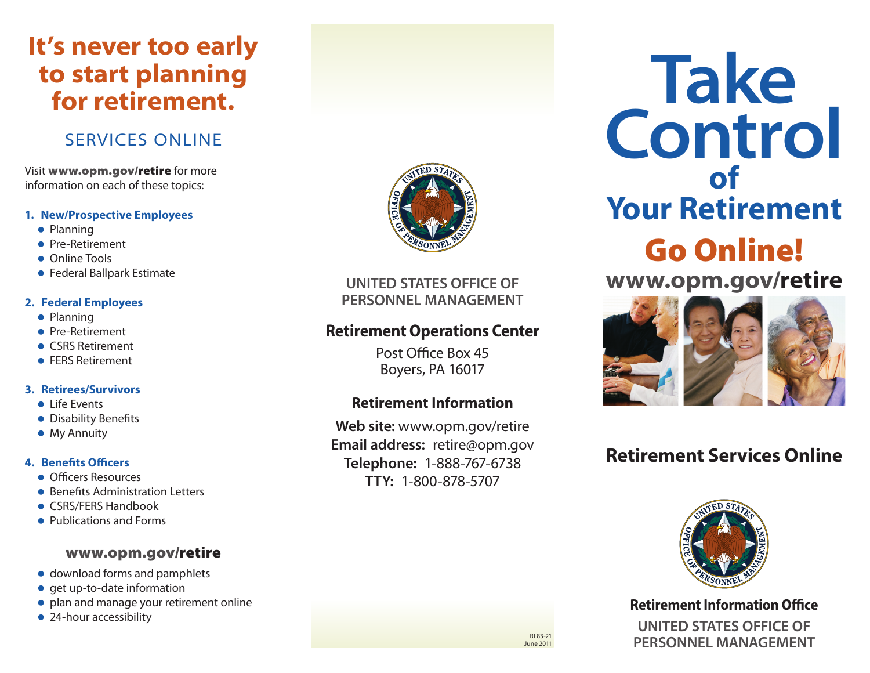# **It's never too early to start planning for retirement.**

### **SERVICES ONLINE**

Visit www.opm.gov/retire for more information on each of these topics:

#### **1. New/Prospective Employees**

- Planning
- Pre-Retirement
- Online Tools
- **Federal Ballpark Estimate**

#### **2. Federal Employees**

- $\bullet$  Planning
- Pre-Retirement
- CSRS Retirement
- **FERS Retirement**

#### **3. Retirees/Survivors**

- $\bullet$  Life Events
- Disability Benefits
- My Annuity

#### **4. Benefits Officers**

- Officers Resources
- **Benefits Administration Letters**
- CSRS/FERS Handbook
- Publications and Forms

#### www.opm.gov/retire

- download forms and pamphlets
- $\bullet$  get up-to-date information
- plan and manage your retirement online
- 24-hour accessibility



**UNITED STATES OFFICE OF PERSONNEL MANAGEMENT** 

### **Retirement Operations Center**

Post Office Box 45 Boyers, PA 16017

### **Retirement Information**

**Web site:** www.opm.gov/retire **mail address:** retire@opm.gov **elephone:** 1-888-767-6738 **Y:** 1-800-878-5707

**Take Control of Your Retirement**  Go Online! **www.opm.gov/retire**

### **Retirement Services Online**



**Retirement Information Office**

**UNITED STATES OFFICE OF PERSONNEL MANAGEMENT** 

RI 83-21 June 2011